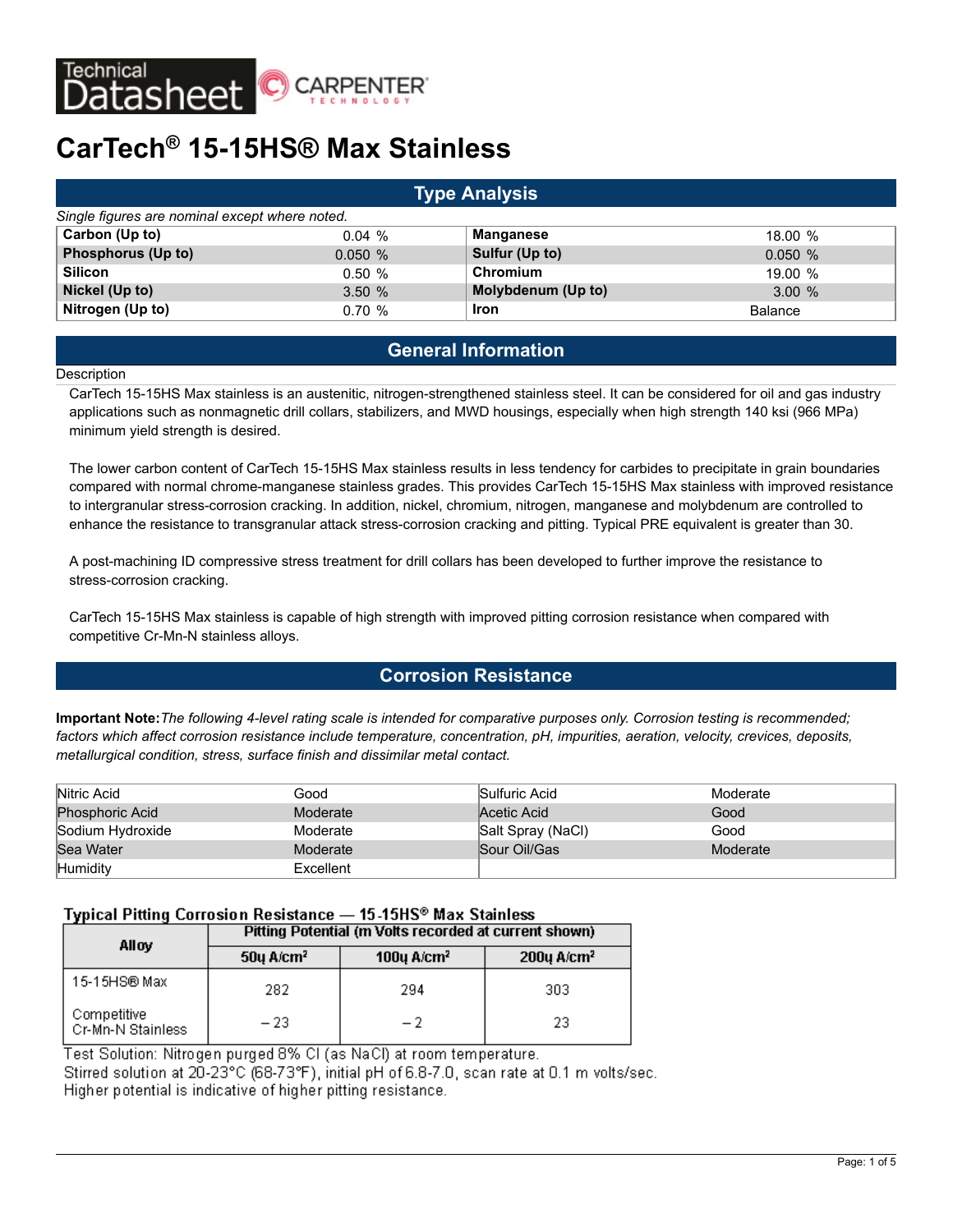

# **CarTech® 15-15HS® Max Stainless**

| <b>Type Analysis</b>                           |        |                    |                |  |  |  |  |  |
|------------------------------------------------|--------|--------------------|----------------|--|--|--|--|--|
| Single figures are nominal except where noted. |        |                    |                |  |  |  |  |  |
| Carbon (Up to)                                 | 0.04%  | <b>Manganese</b>   | 18.00%         |  |  |  |  |  |
| <b>Phosphorus (Up to)</b>                      | 0.050% | Sulfur (Up to)     | 0.050%         |  |  |  |  |  |
| <b>Silicon</b>                                 | 0.50%  | Chromium           | 19.00%         |  |  |  |  |  |
| Nickel (Up to)                                 | 3.50%  | Molybdenum (Up to) | 3.00%          |  |  |  |  |  |
| Nitrogen (Up to)                               | 0.70%  | <b>Iron</b>        | <b>Balance</b> |  |  |  |  |  |

# **General Information**

#### **Description**

CarTech 15-15HS Max stainless is an austenitic, nitrogen-strengthened stainless steel. It can be considered for oil and gas industry applications such as nonmagnetic drill collars, stabilizers, and MWD housings, especially when high strength 140 ksi (966 MPa) minimum yield strength is desired.

The lower carbon content of CarTech 15-15HS Max stainless results in less tendency for carbides to precipitate in grain boundaries compared with normal chrome-manganese stainless grades. This provides CarTech 15-15HS Max stainless with improved resistance to intergranular stress-corrosion cracking. In addition, nickel, chromium, nitrogen, manganese and molybdenum are controlled to enhance the resistance to transgranular attack stress-corrosion cracking and pitting. Typical PRE equivalent is greater than 30.

A post-machining ID compressive stress treatment for drill collars has been developed to further improve the resistance to stress-corrosion cracking.

CarTech 15-15HS Max stainless is capable of high strength with improved pitting corrosion resistance when compared with competitive Cr-Mn-N stainless alloys.

# **Corrosion Resistance**

**Important Note:***The following 4-level rating scale is intended for comparative purposes only. Corrosion testing is recommended; factors which affect corrosion resistance include temperature, concentration, pH, impurities, aeration, velocity, crevices, deposits, metallurgical condition, stress, surface finish and dissimilar metal contact.*

| Nitric Acid            | Good      | Sulfuric Acid     | Moderate |
|------------------------|-----------|-------------------|----------|
| <b>Phosphoric Acid</b> | Moderate  | Acetic Acid       | Good     |
| Sodium Hydroxide       | Moderate  | Salt Spray (NaCl) | Good     |
| Sea Water              | Moderate  | Sour Oil/Gas      | Moderate |
| Humidity               | Excellent |                   |          |

# Typical Pitting Corrosion Resistance - 15-15HS® Max Stainless

| Allov                            | Pitting Potential (m Volts recorded at current shown) |                             |                           |  |  |  |
|----------------------------------|-------------------------------------------------------|-----------------------------|---------------------------|--|--|--|
|                                  | $50y$ A/cm <sup>2</sup>                               | 100 $\mu$ A/cm <sup>2</sup> | $200$ u A/cm <sup>2</sup> |  |  |  |
| 15-15HS® Max                     | 282                                                   | 294                         | 303                       |  |  |  |
| Competitive<br>Cr-Mn-N Stainless | $-23$                                                 | - 2                         | 23                        |  |  |  |

Test Solution: Nitrogen purged 8% CI (as NaCI) at room temperature. Stirred solution at 20-23°C (68-73°F), initial pH of 6.8-7.0, scan rate at 0.1 m volts/sec. Higher potential is indicative of higher pitting resistance.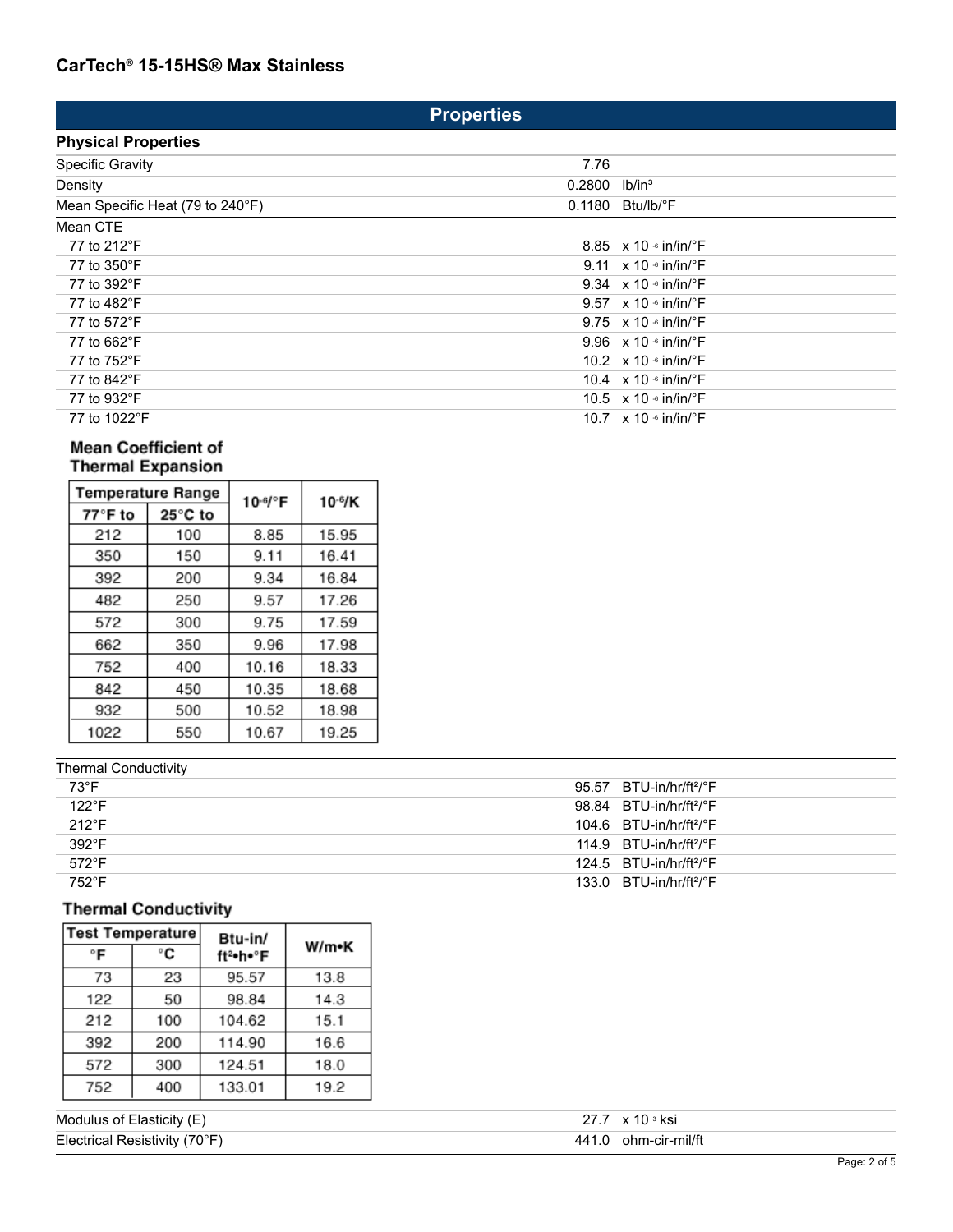# **Properties**

| <b>Physical Properties</b>       |        |                                                   |
|----------------------------------|--------|---------------------------------------------------|
| <b>Specific Gravity</b>          | 7.76   |                                                   |
| Density                          | 0.2800 | lb/in <sup>3</sup>                                |
| Mean Specific Heat (79 to 240°F) |        | $0.1180$ Btu/lb/ $\degree$ F                      |
| Mean CTE                         |        |                                                   |
| 77 to 212°F                      |        | 8.85 $\times$ 10 $\cdot$ in/in/ $\cdot$ F         |
| 77 to 350°F                      |        | 9.11 $\times$ 10 $\cdot$ in/in/ $\cdot$ F         |
| 77 to 392°F                      |        | 9.34 $\times$ 10 $\cdot$ in/in/ $\cdot$ F         |
| 77 to 482°F                      |        | 9.57 $\times$ 10 $\cdot$ in/in/ $\cdot$ F         |
| 77 to 572°F                      |        | 9.75 $\times$ 10 $\frac{1}{2}$ in/in/ $\degree$ F |
| 77 to 662°F                      |        | 9.96 $\times$ 10 $\cdot$ in/in/ $\cdot$ F         |
| 77 to 752°F                      |        | 10.2 $\times$ 10 $\cdot$ in/in/ $\cdot$ F         |
| 77 to 842°F                      |        | 10.4 $\times$ 10 $\cdot$ in/in/ $\cdot$ F         |
| 77 to 932°F                      |        | 10.5 $\times$ 10 $\cdot$ in/in/ $\cdot$ F         |
| 77 to 1022°F                     |        | 10.7 $\times$ 10 $\cdot$ in/in/ $\cdot$ F         |

# Mean Coefficient of **Thermal Expansion**

|         | <b>Temperature Range</b> | 10-6/°F | $10-6/K$ |
|---------|--------------------------|---------|----------|
| 77°F to | 25°C to                  |         |          |
| 212     | 100                      | 8.85    | 15.95    |
| 350     | 150                      | 9.11    | 16.41    |
| 392     | 200                      | 9.34    | 16.84    |
| 482     | 250                      | 9.57    | 17.26    |
| 572     | 300                      | 9.75    | 17.59    |
| 662     | 350                      | 9.96    | 17.98    |
| 752     | 400                      | 10.16   | 18.33    |
| 842     | 450                      | 10.35   | 18.68    |
| 932     | 500                      | 10.52   | 18.98    |
| 1022    | 550                      | 10.67   | 19.25    |

| <b>Thermal Conductivity</b> |                                                 |
|-----------------------------|-------------------------------------------------|
| 73°F                        | 95.57 $BTU-in/hr/ft2/°F$                        |
| $122^{\circ}F$              | 98.84 BTU-in/hr/ft <sup>2</sup> /°F             |
| $212^{\circ}$ F             | $104.6$ BTU-in/hr/ft <sup>2</sup> / $\degree$ F |
| $392^{\circ}$ F             | 114.9 $BTU-in/hr/ft^2/°F$                       |
| $572^{\circ}F$              | $124.5$ BTU-in/hr/ft <sup>2</sup> / $\degree$ F |
| 752°F                       | 133.0 $BTU-in/hr/ft2/°F$                        |
|                             |                                                 |

# **Thermal Conductivity**

| <b>Test Temperature</b> |     | Btu-in/  |       |
|-------------------------|-----|----------|-------|
| °F                      | °C  | ft2•h•°F | W/m•K |
| 73                      | 23  | 95.57    | 13.8  |
| 122                     | 50  | 98.84    | 14.3  |
| 212                     | 100 | 104.62   | 15.1  |
| 392                     | 200 | 114.90   | 16.6  |
| 572                     | 300 | 124.51   | 18.0  |
| 752                     | 400 | 133.01   | 19.2  |

| Modulus of Elasticity (E)     | x 10 ª ksi           |  |
|-------------------------------|----------------------|--|
| Electrical Resistivity (70°F) | 441.0 ohm-cir-mil/ft |  |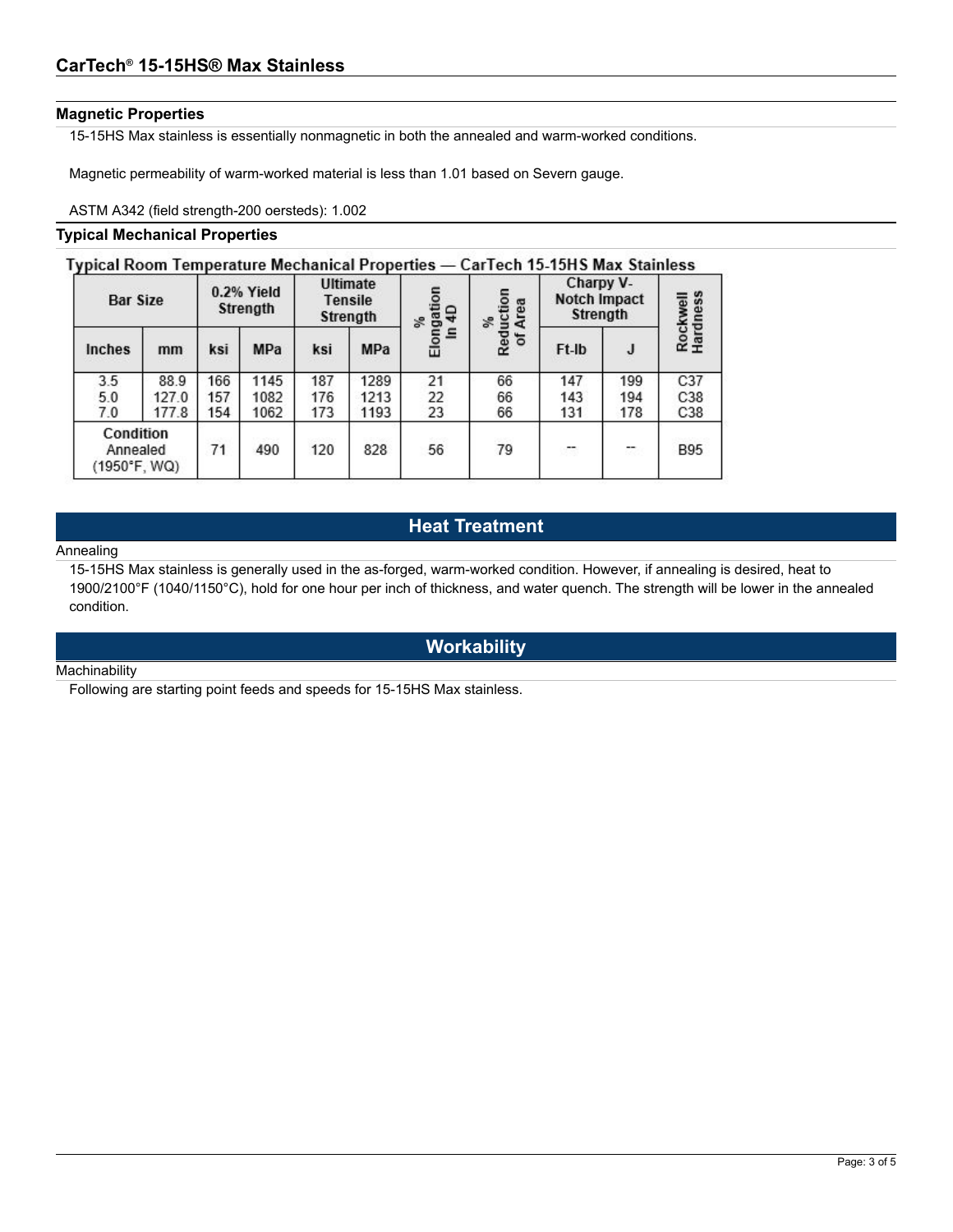# **Magnetic Properties**

15-15HS Max stainless is essentially nonmagnetic in both the annealed and warm-worked conditions.

Magnetic permeability of warm-worked material is less than 1.01 based on Severn gauge.

ASTM A342 (field strength-200 oersteds): 1.002

## **Typical Mechanical Properties**

# Typical Room Temperature Mechanical Properties - CarTech 15-15HS Max Stainless

|                                       | <b>Bar Size</b> |     | $0.2%$ Yield<br>Strength |     | <b>Ultimate</b><br><b>Tensile</b><br>Strength |                       | Reduction<br>of Area<br>S. | Charpy V-<br>Notch Impact<br><b>Strength</b> |                                | rdness<br>Rockwell<br>Hardness |
|---------------------------------------|-----------------|-----|--------------------------|-----|-----------------------------------------------|-----------------------|----------------------------|----------------------------------------------|--------------------------------|--------------------------------|
| Inches                                | mm              | ksi | <b>MPa</b>               | ksi | MPa                                           | Elongation<br>s,<br>Ξ |                            | Ft-Ib                                        | J                              |                                |
| 3.5                                   | 88.9            | 166 | 1145                     | 187 | 1289                                          | 21                    | 66                         | 147                                          | 199                            | C <sub>37</sub>                |
| 5.0                                   | 127.0           | 157 | 1082                     | 176 | 1213                                          | 22                    | 66                         | 143                                          | 194                            | C38                            |
| 7.0                                   | 177.8           | 154 | 1062                     | 173 | 1193                                          | 23                    | 66                         | 131                                          | 178                            | C38                            |
| Condition<br>Annealed<br>(1950°F, WQ) |                 | 71  | 490                      | 120 | 828                                           | 56                    | 79                         | c.                                           | $\overline{\phantom{a}}$<br>84 | <b>B95</b>                     |

# **Heat Treatment**

#### Annealing

15-15HS Max stainless is generally used in the as-forged, warm-worked condition. However, if annealing is desired, heat to 1900/2100°F (1040/1150°C), hold for one hour per inch of thickness, and water quench. The strength will be lower in the annealed condition.

# **Workability**

#### **Machinability**

Following are starting point feeds and speeds for 15-15HS Max stainless.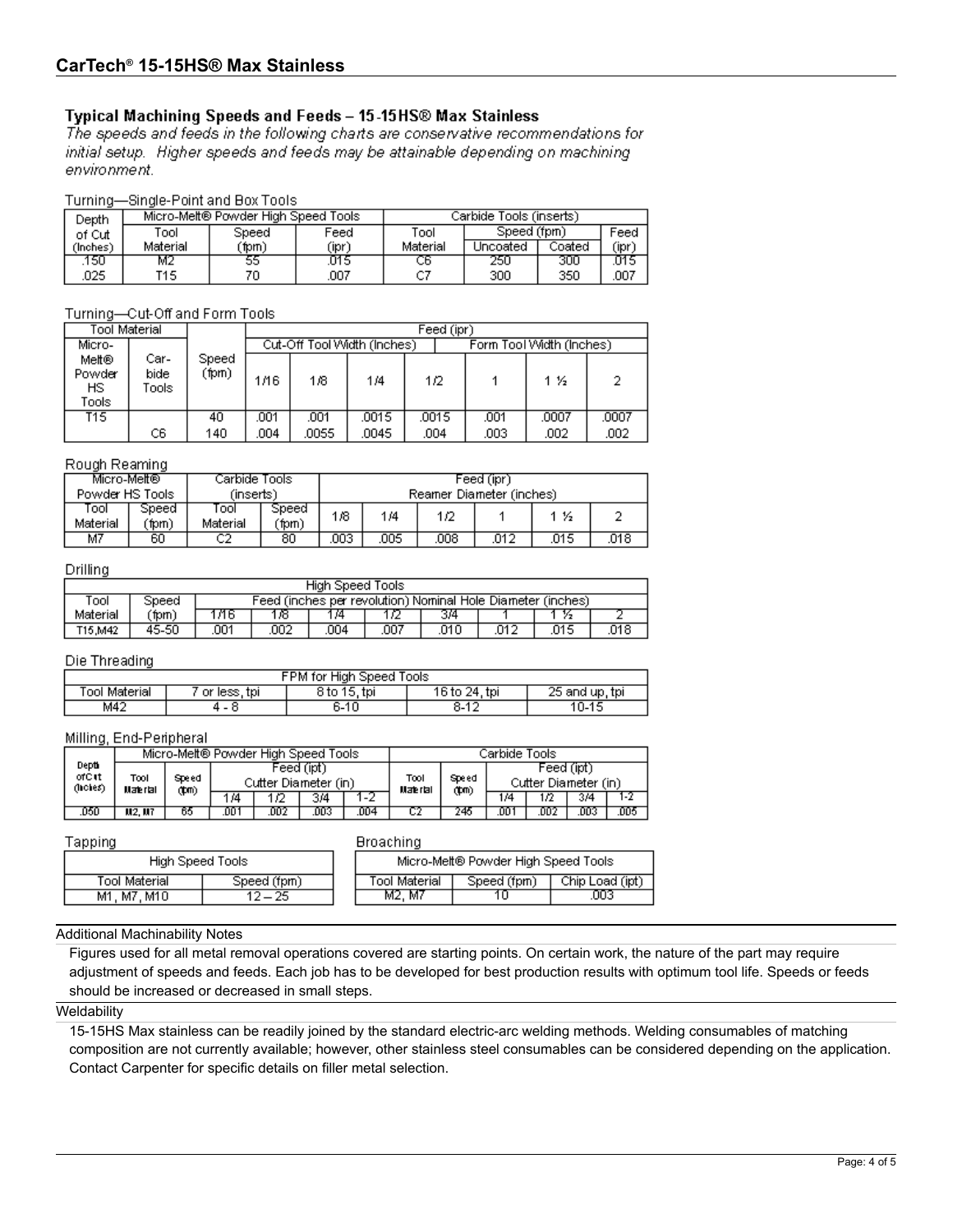# Typical Machining Speeds and Feeds - 15-15HS® Max Stainless

The speeds and feeds in the following charts are conservative recommendations for initial setup. Higher speeds and feeds may be attainable depending on machining environment.

# Turning-Single-Point and Box Tools

| Depth    |          | Micro-Melt® Powder High Speed Tools |       | Carbide Tools (inserts) |             |        |       |
|----------|----------|-------------------------------------|-------|-------------------------|-------------|--------|-------|
| of Cut   | Tool     | Tool<br>Feed<br>Speed               |       |                         | Speed (fpm) |        | Feed  |
| (Inches) | Material | 'fpm)                               | (ipri | Material                | Jncoated    | Coated | (ipr) |
| 150      | М2       | 55                                  | .U15  | cь                      | 250         | 300    | .015  |
| 025      | T15      | 70                                  | .007  |                         | 300         | 350    | .007  |

# Turning-Cut-Off and Form Tools

| Tool Material                   |                       |                |      | Feed (ipr)                                              |       |       |      |       |       |  |
|---------------------------------|-----------------------|----------------|------|---------------------------------------------------------|-------|-------|------|-------|-------|--|
| Micro-                          |                       |                |      | Form Tool Width (Inches)<br>Cut-Off Tool Width (Inches) |       |       |      |       |       |  |
| Melt®<br>Powder<br>HS.<br>Tools | Car-<br>bide<br>Tools | Speed<br>(fpm) | 1/16 | 1/8                                                     | 1/4   | 1/2   |      | 1 ½   |       |  |
| T15.                            |                       | 40             | .001 | .001                                                    | .0015 | .0015 | .001 | .0007 | .0007 |  |
|                                 | C6                    | 140            | 004  | .0055                                                   | .0045 | .004  | .003 | .002  | .002  |  |

#### Rough Reaming

| Micro-Melt®       |                                                          | Carbide Tools    | Feed (ipr)     |      |     |      |      |     |      |
|-------------------|----------------------------------------------------------|------------------|----------------|------|-----|------|------|-----|------|
|                   | Powder HS Tools<br>(insertsi<br>Reamer Diameter (inches) |                  |                |      |     |      |      |     |      |
| rool.<br>Material | Speed<br>(fpm)                                           | ïool<br>Material | Speed<br>(fpm) | 1/8  | 1/4 | 1/2  |      | -16 |      |
| M7                | 60                                                       | C2               | 80             | .003 | 005 | .008 | .012 | 015 | .018 |

## Drilling

| High Speed Tools |                                                                      |      |     |     |      |      |      |      |      |
|------------------|----------------------------------------------------------------------|------|-----|-----|------|------|------|------|------|
| Fool             | Feed (inches per revolution) Nominal Hole Diameter (inches)<br>Speed |      |     |     |      |      |      |      |      |
| Material         | ´fpm)                                                                | л6   | 16  | 74  |      | 314  |      | ¥2   |      |
| T15,M42          | 45-50                                                                | .001 | 002 | 004 | .007 | .010 | .012 | .015 | .018 |

#### Die Threading

| FPM for High Speed Tools |              |              |                 |                |  |  |  |
|--------------------------|--------------|--------------|-----------------|----------------|--|--|--|
| Γool Material            | or less, tpi | 8 to 15, tpi | 16 to 24, tpi   | 25 and up, tpi |  |  |  |
| M42                      | 4 - 0        | 6-10         | $-4o$<br>$8-12$ | $0 - 15$       |  |  |  |

#### Milling, End-Peripheral

|                                 | Micro-Melt® Powder High Speed Tools |               |                                    |     |     |                    |       | Carbide Tools:                     |     |     |     |      |
|---------------------------------|-------------------------------------|---------------|------------------------------------|-----|-----|--------------------|-------|------------------------------------|-----|-----|-----|------|
| Depti<br>ofCet<br>$($ hohe $s)$ | Tool<br>Water tall                  | Speed<br>(‡m) | Feed (ipt)<br>Cutter Diameter (in) |     |     | Tool<br>Water ta I | Speed | Feed (ipt)<br>Cutter Diameter (in) |     |     |     |      |
|                                 |                                     |               | 1/4                                | 12  | 3/4 | 1-2                |       | (‡m)                               | 1/4 | 12  | 3/4 | 1-2  |
| 050                             | M2. M7                              | 65            | י סם.                              | 002 | 003 | 004                |       | 246                                | .oo | 002 | DD3 | .005 |

Tapping

#### **Broaching**

| Micro-Melt® Powder High Speed Tools |             |                 |  |  |  |  |  |  |
|-------------------------------------|-------------|-----------------|--|--|--|--|--|--|
| <b>Tool Material</b>                | Speed (fpm) | Chip Load (ipt) |  |  |  |  |  |  |
| M2. M7                              | 10          | 003             |  |  |  |  |  |  |

#### Additional Machinability Notes

**Tool Material** 

M1, M7, M10

High Speed Tools

Speed (fpm)

 $12 - 25$ 

Figures used for all metal removal operations covered are starting points. On certain work, the nature of the part may require adjustment of speeds and feeds. Each job has to be developed for best production results with optimum tool life. Speeds or feeds should be increased or decreased in small steps.

# **Weldability**

15-15HS Max stainless can be readily joined by the standard electric-arc welding methods. Welding consumables of matching composition are not currently available; however, other stainless steel consumables can be considered depending on the application. Contact Carpenter for specific details on filler metal selection.